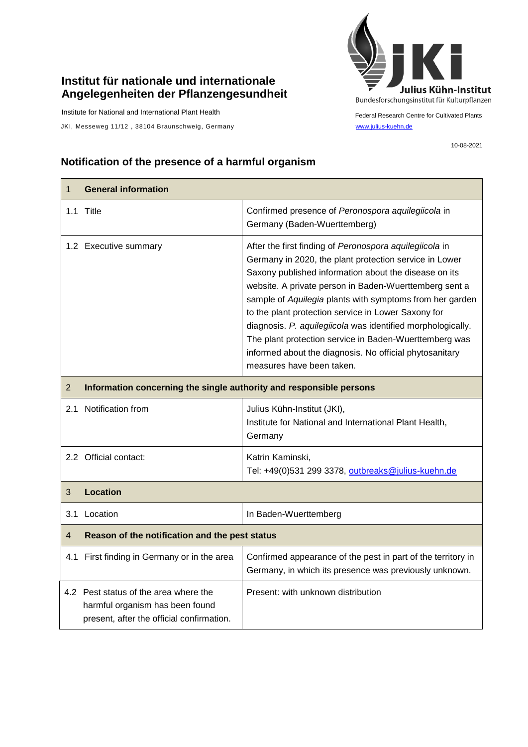## **Institut für nationale und internationale Angelegenheiten der Pflanzengesundheit**

Institute for National and International Plant Health

JKI, Messeweg 11/12, 38104 Braunschweig, Germany [www.julius-kuehn.de](http://www.julius-kuehn.de/)



Federal Research Centre for Cultivated Plants

10-08-2021

## **Notification of the presence of a harmful organism**

| $\mathbf{1}$   | <b>General information</b>                                                                                            |                                                                                                                                                                                                                                                                                                                                                                                                                                                                                                                                                                          |  |
|----------------|-----------------------------------------------------------------------------------------------------------------------|--------------------------------------------------------------------------------------------------------------------------------------------------------------------------------------------------------------------------------------------------------------------------------------------------------------------------------------------------------------------------------------------------------------------------------------------------------------------------------------------------------------------------------------------------------------------------|--|
| 1.1            | Title                                                                                                                 | Confirmed presence of Peronospora aquilegiicola in<br>Germany (Baden-Wuerttemberg)                                                                                                                                                                                                                                                                                                                                                                                                                                                                                       |  |
|                | 1.2 Executive summary                                                                                                 | After the first finding of Peronospora aquilegiicola in<br>Germany in 2020, the plant protection service in Lower<br>Saxony published information about the disease on its<br>website. A private person in Baden-Wuerttemberg sent a<br>sample of Aquilegia plants with symptoms from her garden<br>to the plant protection service in Lower Saxony for<br>diagnosis. P. aquilegiicola was identified morphologically.<br>The plant protection service in Baden-Wuerttemberg was<br>informed about the diagnosis. No official phytosanitary<br>measures have been taken. |  |
| $\overline{2}$ | Information concerning the single authority and responsible persons                                                   |                                                                                                                                                                                                                                                                                                                                                                                                                                                                                                                                                                          |  |
| 2.1            | Notification from                                                                                                     | Julius Kühn-Institut (JKI),<br>Institute for National and International Plant Health,<br>Germany                                                                                                                                                                                                                                                                                                                                                                                                                                                                         |  |
|                | 2.2 Official contact:                                                                                                 | Katrin Kaminski,<br>Tel: +49(0)531 299 3378, outbreaks@julius-kuehn.de                                                                                                                                                                                                                                                                                                                                                                                                                                                                                                   |  |
| 3              | <b>Location</b>                                                                                                       |                                                                                                                                                                                                                                                                                                                                                                                                                                                                                                                                                                          |  |
| 3.1            | Location                                                                                                              | In Baden-Wuerttemberg                                                                                                                                                                                                                                                                                                                                                                                                                                                                                                                                                    |  |
| $\overline{4}$ | Reason of the notification and the pest status                                                                        |                                                                                                                                                                                                                                                                                                                                                                                                                                                                                                                                                                          |  |
| 4.1            | First finding in Germany or in the area                                                                               | Confirmed appearance of the pest in part of the territory in<br>Germany, in which its presence was previously unknown.                                                                                                                                                                                                                                                                                                                                                                                                                                                   |  |
|                | 4.2 Pest status of the area where the<br>harmful organism has been found<br>present, after the official confirmation. | Present: with unknown distribution                                                                                                                                                                                                                                                                                                                                                                                                                                                                                                                                       |  |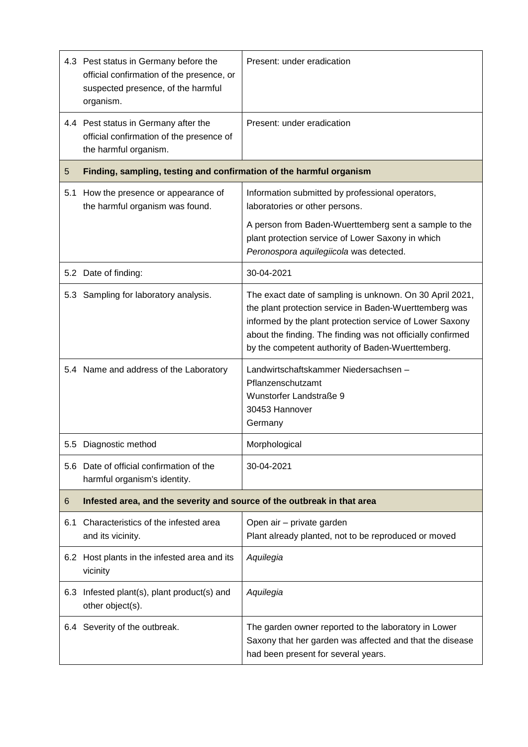|     | 4.3 Pest status in Germany before the<br>official confirmation of the presence, or<br>suspected presence, of the harmful<br>organism. | Present: under eradication                                                                                                                                                                                                                                                                         |  |
|-----|---------------------------------------------------------------------------------------------------------------------------------------|----------------------------------------------------------------------------------------------------------------------------------------------------------------------------------------------------------------------------------------------------------------------------------------------------|--|
|     | 4.4 Pest status in Germany after the<br>official confirmation of the presence of<br>the harmful organism.                             | Present: under eradication                                                                                                                                                                                                                                                                         |  |
| 5   | Finding, sampling, testing and confirmation of the harmful organism                                                                   |                                                                                                                                                                                                                                                                                                    |  |
| 5.1 | How the presence or appearance of<br>the harmful organism was found.                                                                  | Information submitted by professional operators,<br>laboratories or other persons.                                                                                                                                                                                                                 |  |
|     |                                                                                                                                       | A person from Baden-Wuerttemberg sent a sample to the<br>plant protection service of Lower Saxony in which<br>Peronospora aquilegiicola was detected.                                                                                                                                              |  |
|     | 5.2 Date of finding:                                                                                                                  | 30-04-2021                                                                                                                                                                                                                                                                                         |  |
|     | 5.3 Sampling for laboratory analysis.                                                                                                 | The exact date of sampling is unknown. On 30 April 2021,<br>the plant protection service in Baden-Wuerttemberg was<br>informed by the plant protection service of Lower Saxony<br>about the finding. The finding was not officially confirmed<br>by the competent authority of Baden-Wuerttemberg. |  |
|     | 5.4 Name and address of the Laboratory                                                                                                | Landwirtschaftskammer Niedersachsen -<br>Pflanzenschutzamt<br>Wunstorfer Landstraße 9<br>30453 Hannover<br>Germany                                                                                                                                                                                 |  |
|     | 5.5 Diagnostic method                                                                                                                 | Morphological                                                                                                                                                                                                                                                                                      |  |
| 5.6 | Date of official confirmation of the<br>harmful organism's identity.                                                                  | 30-04-2021                                                                                                                                                                                                                                                                                         |  |
| 6   | Infested area, and the severity and source of the outbreak in that area                                                               |                                                                                                                                                                                                                                                                                                    |  |
| 6.1 | Characteristics of the infested area<br>and its vicinity.                                                                             | Open air - private garden<br>Plant already planted, not to be reproduced or moved                                                                                                                                                                                                                  |  |
|     | 6.2 Host plants in the infested area and its<br>vicinity                                                                              | Aquilegia                                                                                                                                                                                                                                                                                          |  |
|     | 6.3 Infested plant(s), plant product(s) and<br>other object(s).                                                                       | Aquilegia                                                                                                                                                                                                                                                                                          |  |
|     | 6.4 Severity of the outbreak.                                                                                                         | The garden owner reported to the laboratory in Lower<br>Saxony that her garden was affected and that the disease<br>had been present for several years.                                                                                                                                            |  |